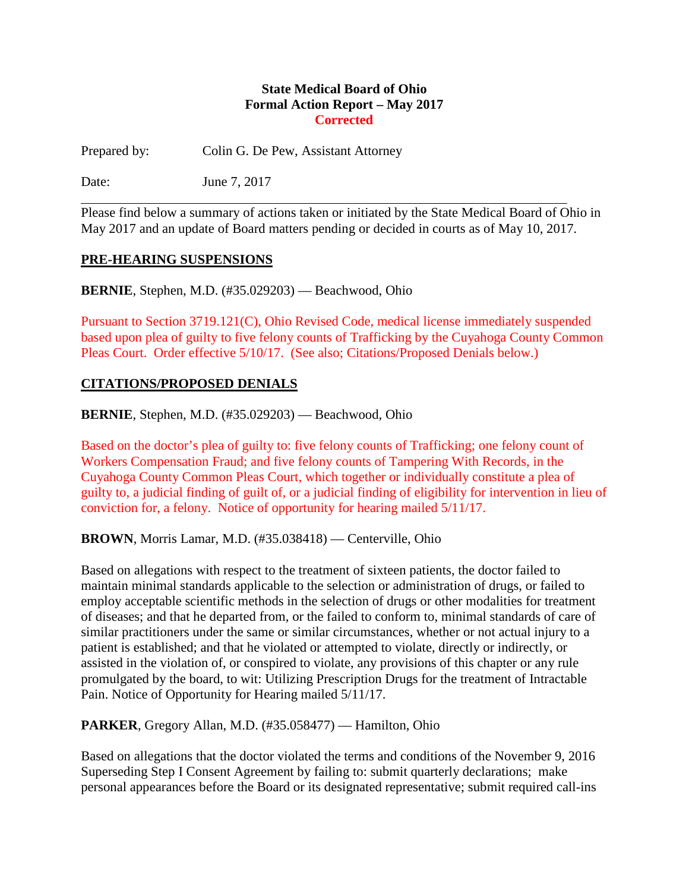#### **State Medical Board of Ohio Formal Action Report – May 2017 Corrected**

Prepared by: Colin G. De Pew, Assistant Attorney

Date: **June 7, 2017** 

Please find below a summary of actions taken or initiated by the State Medical Board of Ohio in May 2017 and an update of Board matters pending or decided in courts as of May 10, 2017.

#### **PRE-HEARING SUSPENSIONS**

**BERNIE**, Stephen, M.D. (#35.029203) — Beachwood, Ohio

Pursuant to Section 3719.121(C), Ohio Revised Code, medical license immediately suspended based upon plea of guilty to five felony counts of Trafficking by the Cuyahoga County Common Pleas Court. Order effective 5/10/17. (See also; Citations/Proposed Denials below.)

### **CITATIONS/PROPOSED DENIALS**

**BERNIE**, Stephen, M.D. (#35.029203) — Beachwood, Ohio

Based on the doctor's plea of guilty to: five felony counts of Trafficking; one felony count of Workers Compensation Fraud; and five felony counts of Tampering With Records, in the Cuyahoga County Common Pleas Court, which together or individually constitute a plea of guilty to, a judicial finding of guilt of, or a judicial finding of eligibility for intervention in lieu of conviction for, a felony. Notice of opportunity for hearing mailed 5/11/17.

**BROWN**, Morris Lamar, M.D. (#35.038418) — Centerville, Ohio

Based on allegations with respect to the treatment of sixteen patients, the doctor failed to maintain minimal standards applicable to the selection or administration of drugs, or failed to employ acceptable scientific methods in the selection of drugs or other modalities for treatment of diseases; and that he departed from, or the failed to conform to, minimal standards of care of similar practitioners under the same or similar circumstances, whether or not actual injury to a patient is established; and that he violated or attempted to violate, directly or indirectly, or assisted in the violation of, or conspired to violate, any provisions of this chapter or any rule promulgated by the board, to wit: Utilizing Prescription Drugs for the treatment of Intractable Pain. Notice of Opportunity for Hearing mailed 5/11/17.

**PARKER**, Gregory Allan, M.D. (#35.058477) — Hamilton, Ohio

Based on allegations that the doctor violated the terms and conditions of the November 9, 2016 Superseding Step I Consent Agreement by failing to: submit quarterly declarations; make personal appearances before the Board or its designated representative; submit required call-ins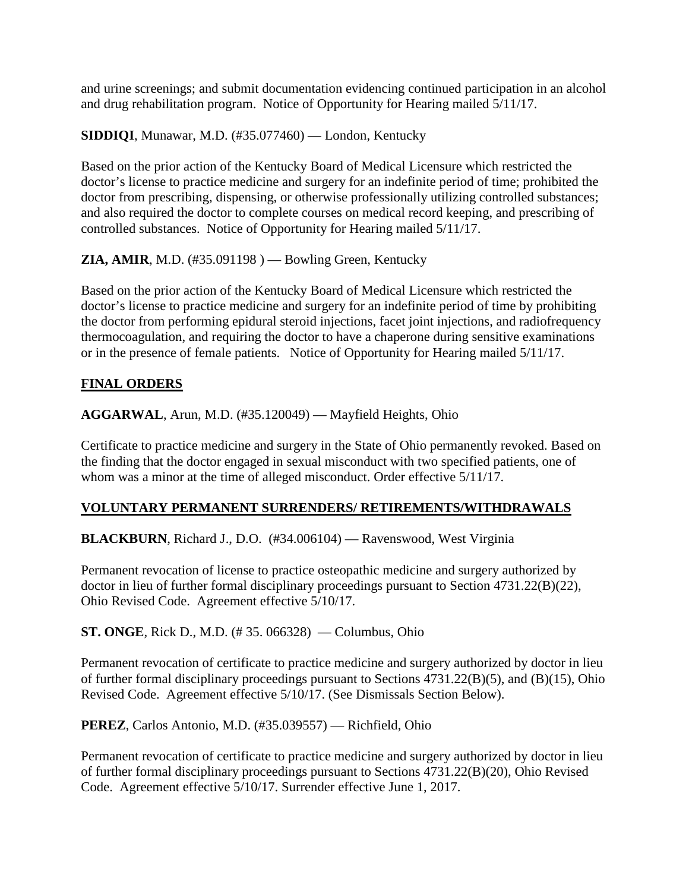and urine screenings; and submit documentation evidencing continued participation in an alcohol and drug rehabilitation program. Notice of Opportunity for Hearing mailed 5/11/17.

**SIDDIQI**, Munawar, M.D. (#35.077460) — London, Kentucky

Based on the prior action of the Kentucky Board of Medical Licensure which restricted the doctor's license to practice medicine and surgery for an indefinite period of time; prohibited the doctor from prescribing, dispensing, or otherwise professionally utilizing controlled substances; and also required the doctor to complete courses on medical record keeping, and prescribing of controlled substances. Notice of Opportunity for Hearing mailed 5/11/17.

**ZIA, AMIR**, M.D. (#35.091198 ) — Bowling Green, Kentucky

Based on the prior action of the Kentucky Board of Medical Licensure which restricted the doctor's license to practice medicine and surgery for an indefinite period of time by prohibiting the doctor from performing epidural steroid injections, facet joint injections, and radiofrequency thermocoagulation, and requiring the doctor to have a chaperone during sensitive examinations or in the presence of female patients. Notice of Opportunity for Hearing mailed 5/11/17.

# **FINAL ORDERS**

**AGGARWAL**, Arun, M.D. (#35.120049) — Mayfield Heights, Ohio

Certificate to practice medicine and surgery in the State of Ohio permanently revoked. Based on the finding that the doctor engaged in sexual misconduct with two specified patients, one of whom was a minor at the time of alleged misconduct. Order effective  $5/11/17$ .

### **VOLUNTARY PERMANENT SURRENDERS/ RETIREMENTS/WITHDRAWALS**

**BLACKBURN**, Richard J., D.O. (#34.006104) — Ravenswood, West Virginia

Permanent revocation of license to practice osteopathic medicine and surgery authorized by doctor in lieu of further formal disciplinary proceedings pursuant to Section 4731.22(B)(22), Ohio Revised Code. Agreement effective 5/10/17.

**ST. ONGE**, Rick D., M.D. (#35. 066328) — Columbus, Ohio

Permanent revocation of certificate to practice medicine and surgery authorized by doctor in lieu of further formal disciplinary proceedings pursuant to Sections 4731.22(B)(5), and (B)(15), Ohio Revised Code. Agreement effective 5/10/17. (See Dismissals Section Below).

**PEREZ**, Carlos Antonio, M.D. (#35.039557) — Richfield, Ohio

Permanent revocation of certificate to practice medicine and surgery authorized by doctor in lieu of further formal disciplinary proceedings pursuant to Sections 4731.22(B)(20), Ohio Revised Code. Agreement effective 5/10/17. Surrender effective June 1, 2017.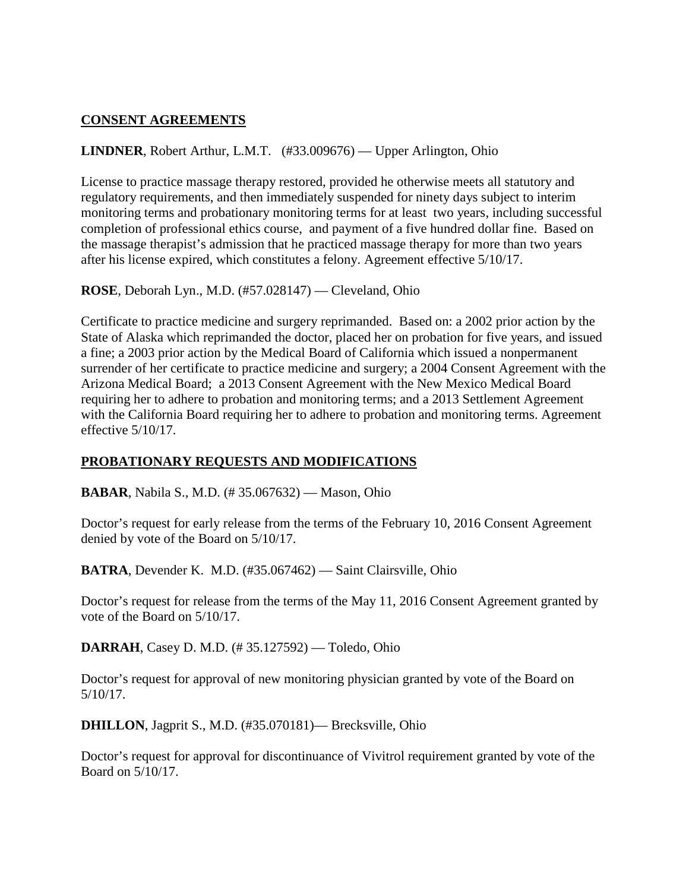## **CONSENT AGREEMENTS**

### **LINDNER**, Robert Arthur, L.M.T. (#33.009676) — Upper Arlington, Ohio

License to practice massage therapy restored, provided he otherwise meets all statutory and regulatory requirements, and then immediately suspended for ninety days subject to interim monitoring terms and probationary monitoring terms for at least two years, including successful completion of professional ethics course, and payment of a five hundred dollar fine. Based on the massage therapist's admission that he practiced massage therapy for more than two years after his license expired, which constitutes a felony. Agreement effective 5/10/17.

**ROSE**, Deborah Lyn., M.D. (#57.028147) — Cleveland, Ohio

Certificate to practice medicine and surgery reprimanded. Based on: a 2002 prior action by the State of Alaska which reprimanded the doctor, placed her on probation for five years, and issued a fine; a 2003 prior action by the Medical Board of California which issued a nonpermanent surrender of her certificate to practice medicine and surgery; a 2004 Consent Agreement with the Arizona Medical Board; a 2013 Consent Agreement with the New Mexico Medical Board requiring her to adhere to probation and monitoring terms; and a 2013 Settlement Agreement with the California Board requiring her to adhere to probation and monitoring terms. Agreement effective 5/10/17.

### **PROBATIONARY REQUESTS AND MODIFICATIONS**

**BABAR**, Nabila S., M.D. (# 35.067632) — Mason, Ohio

Doctor's request for early release from the terms of the February 10, 2016 Consent Agreement denied by vote of the Board on 5/10/17.

**BATRA**, Devender K. M.D. (#35.067462) — Saint Clairsville, Ohio

Doctor's request for release from the terms of the May 11, 2016 Consent Agreement granted by vote of the Board on 5/10/17.

**DARRAH**, Casey D. M.D. (# 35.127592) — Toledo, Ohio

Doctor's request for approval of new monitoring physician granted by vote of the Board on 5/10/17.

**DHILLON**, Jagprit S., M.D. (#35.070181)— Brecksville, Ohio

Doctor's request for approval for discontinuance of Vivitrol requirement granted by vote of the Board on 5/10/17.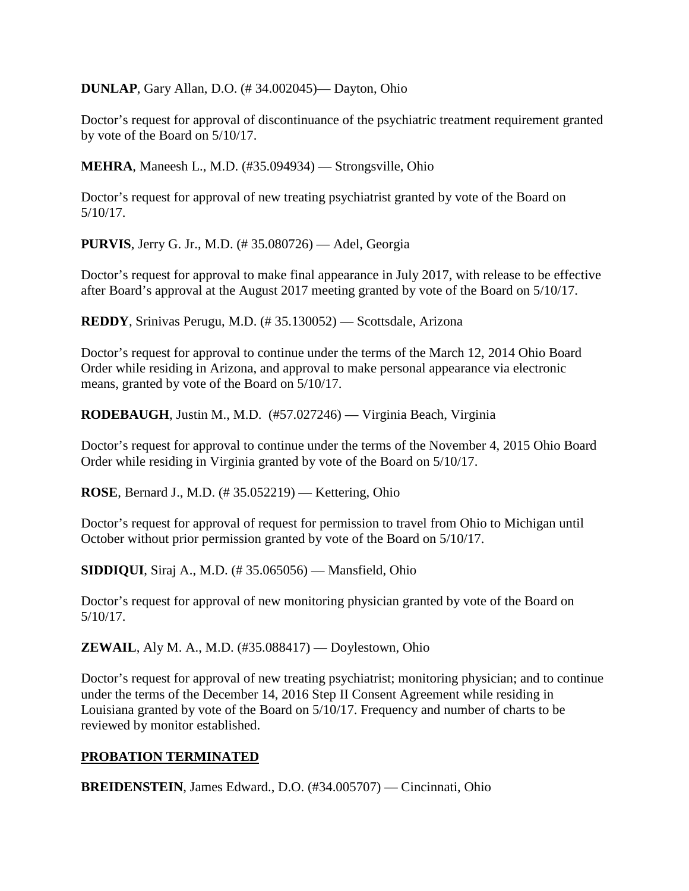**DUNLAP**, Gary Allan, D.O. (# 34.002045)— Dayton, Ohio

Doctor's request for approval of discontinuance of the psychiatric treatment requirement granted by vote of the Board on 5/10/17.

**MEHRA**, Maneesh L., M.D. (#35.094934) — Strongsville, Ohio

Doctor's request for approval of new treating psychiatrist granted by vote of the Board on 5/10/17.

**PURVIS**, Jerry G. Jr., M.D. (# 35.080726) — Adel, Georgia

Doctor's request for approval to make final appearance in July 2017, with release to be effective after Board's approval at the August 2017 meeting granted by vote of the Board on 5/10/17.

**REDDY**, Srinivas Perugu, M.D. (# 35.130052) — Scottsdale, Arizona

Doctor's request for approval to continue under the terms of the March 12, 2014 Ohio Board Order while residing in Arizona, and approval to make personal appearance via electronic means, granted by vote of the Board on 5/10/17.

**RODEBAUGH**, Justin M., M.D. (#57.027246) — Virginia Beach, Virginia

Doctor's request for approval to continue under the terms of the November 4, 2015 Ohio Board Order while residing in Virginia granted by vote of the Board on 5/10/17.

**ROSE**, Bernard J., M.D. (# 35.052219) — Kettering, Ohio

Doctor's request for approval of request for permission to travel from Ohio to Michigan until October without prior permission granted by vote of the Board on 5/10/17.

**SIDDIQUI**, Siraj A., M.D. (# 35.065056) — Mansfield, Ohio

Doctor's request for approval of new monitoring physician granted by vote of the Board on 5/10/17.

**ZEWAIL**, Aly M. A., M.D. (#35.088417) — Doylestown, Ohio

Doctor's request for approval of new treating psychiatrist; monitoring physician; and to continue under the terms of the December 14, 2016 Step II Consent Agreement while residing in Louisiana granted by vote of the Board on 5/10/17. Frequency and number of charts to be reviewed by monitor established.

### **PROBATION TERMINATED**

**BREIDENSTEIN**, James Edward., D.O. (#34.005707) — Cincinnati, Ohio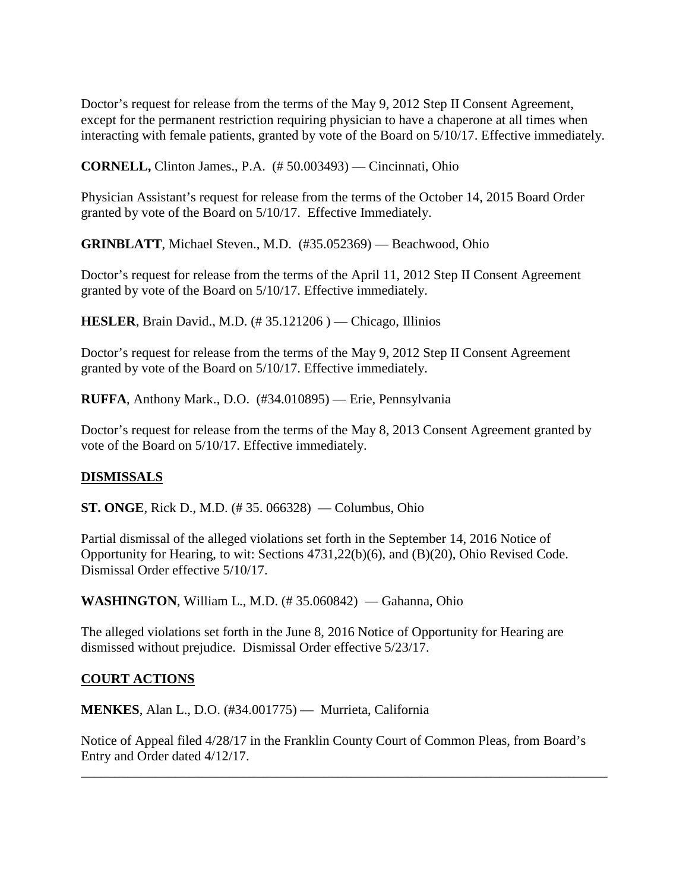Doctor's request for release from the terms of the May 9, 2012 Step II Consent Agreement, except for the permanent restriction requiring physician to have a chaperone at all times when interacting with female patients, granted by vote of the Board on 5/10/17. Effective immediately.

**CORNELL,** Clinton James., P.A. (# 50.003493) — Cincinnati, Ohio

Physician Assistant's request for release from the terms of the October 14, 2015 Board Order granted by vote of the Board on 5/10/17. Effective Immediately.

**GRINBLATT**, Michael Steven., M.D. (#35.052369) — Beachwood, Ohio

Doctor's request for release from the terms of the April 11, 2012 Step II Consent Agreement granted by vote of the Board on 5/10/17. Effective immediately.

**HESLER**, Brain David., M.D. (# 35.121206 ) — Chicago, Illinios

Doctor's request for release from the terms of the May 9, 2012 Step II Consent Agreement granted by vote of the Board on 5/10/17. Effective immediately.

**RUFFA**, Anthony Mark., D.O. (#34.010895) — Erie, Pennsylvania

Doctor's request for release from the terms of the May 8, 2013 Consent Agreement granted by vote of the Board on 5/10/17. Effective immediately.

### **DISMISSALS**

**ST. ONGE, Rick D., M.D.** (#35. 066328) — Columbus, Ohio

Partial dismissal of the alleged violations set forth in the September 14, 2016 Notice of Opportunity for Hearing, to wit: Sections 4731,22(b)(6), and (B)(20), Ohio Revised Code. Dismissal Order effective 5/10/17.

**WASHINGTON**, William L., M.D. (# 35.060842) — Gahanna, Ohio

The alleged violations set forth in the June 8, 2016 Notice of Opportunity for Hearing are dismissed without prejudice. Dismissal Order effective 5/23/17.

#### **COURT ACTIONS**

**MENKES**, Alan L., D.O. (#34.001775) — Murrieta, California

Notice of Appeal filed 4/28/17 in the Franklin County Court of Common Pleas, from Board's Entry and Order dated 4/12/17.

\_\_\_\_\_\_\_\_\_\_\_\_\_\_\_\_\_\_\_\_\_\_\_\_\_\_\_\_\_\_\_\_\_\_\_\_\_\_\_\_\_\_\_\_\_\_\_\_\_\_\_\_\_\_\_\_\_\_\_\_\_\_\_\_\_\_\_\_\_\_\_\_\_\_\_\_\_\_